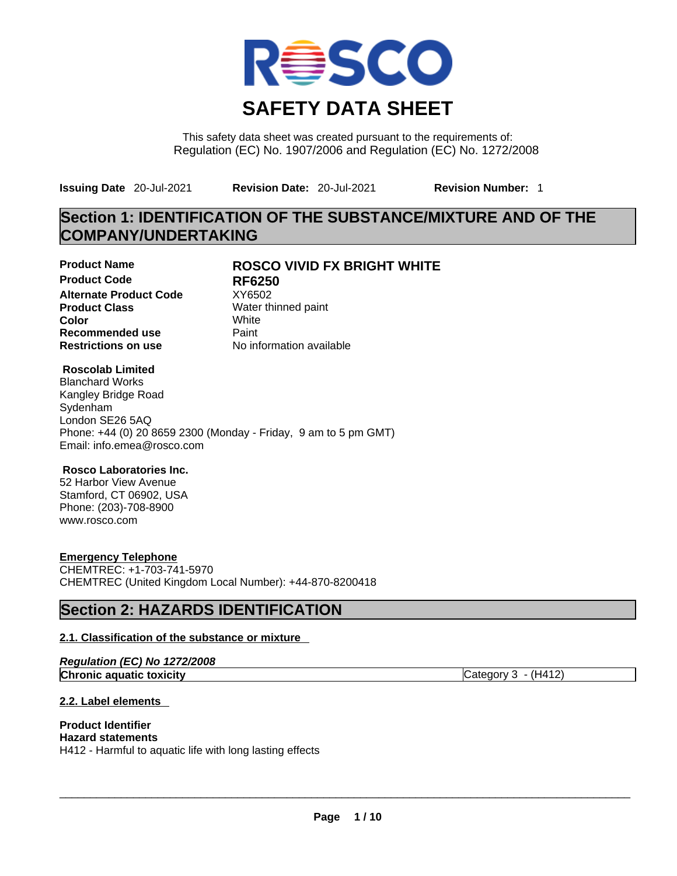

This safety data sheet was created pursuant to the requirements of: Regulation (EC) No. 1907/2006 and Regulation (EC) No. 1272/2008

**Issuing Date** 20-Jul-2021 **Revision Date:** 20-Jul-2021 **Revision Number:** 1

## **Section 1: IDENTIFICATION OF THE SUBSTANCE/MIXTURE AND OF THE COMPANY/UNDERTAKING**

**Product Code RF6250 Alternate Product Code XY6502 Product Class Water thinned paint**<br> **Color Color** White **Recommended use** Paint **Restrictions on use** No information available

## **Product Name ROSCO VIVID FX BRIGHT WHITE**

#### **Roscolab Limited**

Blanchard Works Kangley Bridge Road Sydenham London SE26 5AQ Phone: +44 (0) 20 8659 2300 (Monday - Friday, 9 am to 5 pm GMT) Email: info.emea@rosco.com

#### **Rosco Laboratories Inc.**

52 Harbor View Avenue Stamford, CT 06902, USA Phone: (203)-708-8900 www.rosco.com

#### **Emergency Telephone**

CHEMTREC: +1-703-741-5970 CHEMTREC (United Kingdom Local Number): +44-870-8200418

## **Section 2: HAZARDS IDENTIFICATION**

#### **2.1. Classification of the substance or mixture**

| Regulation (EC) No 1272/2008    |                       |
|---------------------------------|-----------------------|
| <b>Chronic aquatic toxicity</b> | Category $3 - (H412)$ |

### **2.2. Label elements**

## **Product Identifier**

**Hazard statements** H412 - Harmful to aquatic life with long lasting effects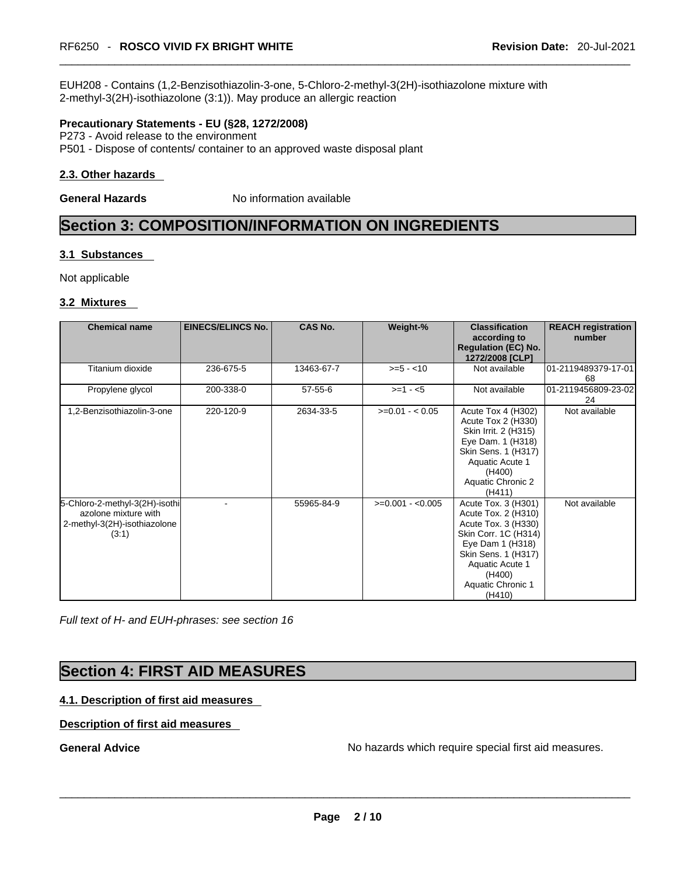EUH208 - Contains (1,2-Benzisothiazolin-3-one, 5-Chloro-2-methyl-3(2H)-isothiazolone mixture with 2-methyl-3(2H)-isothiazolone (3:1)). May produce an allergic reaction

#### **Precautionary Statements - EU (§28, 1272/2008)**

P273 - Avoid release to the environment P501 - Dispose of contents/ container to an approved waste disposal plant

#### **2.3. Other hazards**

**General Hazards No information available** 

## **Section 3: COMPOSITION/INFORMATION ON INGREDIENTS**

#### **3.1 Substances**

Not applicable

#### **3.2 Mixtures**

| <b>Chemical name</b>                                                                            | <b>EINECS/ELINCS No.</b> | <b>CAS No.</b> | Weight-%          | <b>Classification</b><br>according to<br><b>Regulation (EC) No.</b><br>1272/2008 [CLP]                                                                                                           | <b>REACH registration</b><br>number |
|-------------------------------------------------------------------------------------------------|--------------------------|----------------|-------------------|--------------------------------------------------------------------------------------------------------------------------------------------------------------------------------------------------|-------------------------------------|
| Titanium dioxide                                                                                | 236-675-5                | 13463-67-7     | $>= 5 - 10$       | Not available                                                                                                                                                                                    | 01-2119489379-17-01<br>68           |
| Propylene glycol                                                                                | 200-338-0                | $57 - 55 - 6$  | $>= 1 - 5$        | Not available                                                                                                                                                                                    | 01-2119456809-23-02<br>24           |
| 1,2-Benzisothiazolin-3-one                                                                      | 220-120-9                | 2634-33-5      | $>=0.01 - 0.05$   | Acute Tox 4 (H302)<br>Acute Tox 2 (H330)<br>Skin Irrit. 2 (H315)<br>Eye Dam. 1 (H318)<br>Skin Sens. 1 (H317)<br>Aquatic Acute 1<br>(H400)<br>Aquatic Chronic 2<br>(H411)                         | Not available                       |
| 5-Chloro-2-methyl-3(2H)-isothi<br>azolone mixture with<br>2-methyl-3(2H)-isothiazolone<br>(3:1) |                          | 55965-84-9     | $>=0.001 - 0.005$ | Acute Tox. 3 (H301)<br>Acute Tox. 2 (H310)<br>Acute Tox. 3 (H330)<br>Skin Corr. 1C (H314)<br>Eye Dam 1 (H318)<br>Skin Sens. 1 (H317)<br>Aquatic Acute 1<br>(H400)<br>Aquatic Chronic 1<br>(H410) | Not available                       |

*Full text of H- and EUH-phrases: see section 16* 

## **Section 4: FIRST AID MEASURES**

#### **4.1. Description of first aid measures**

#### **Description of first aid measures**

**General Advice** No hazards which require special first aid measures. \_\_\_\_\_\_\_\_\_\_\_\_\_\_\_\_\_\_\_\_\_\_\_\_\_\_\_\_\_\_\_\_\_\_\_\_\_\_\_\_\_\_\_\_\_\_\_\_\_\_\_\_\_\_\_\_\_\_\_\_\_\_\_\_\_\_\_\_\_\_\_\_\_\_\_\_\_\_\_\_\_\_\_\_\_\_\_\_\_\_\_\_\_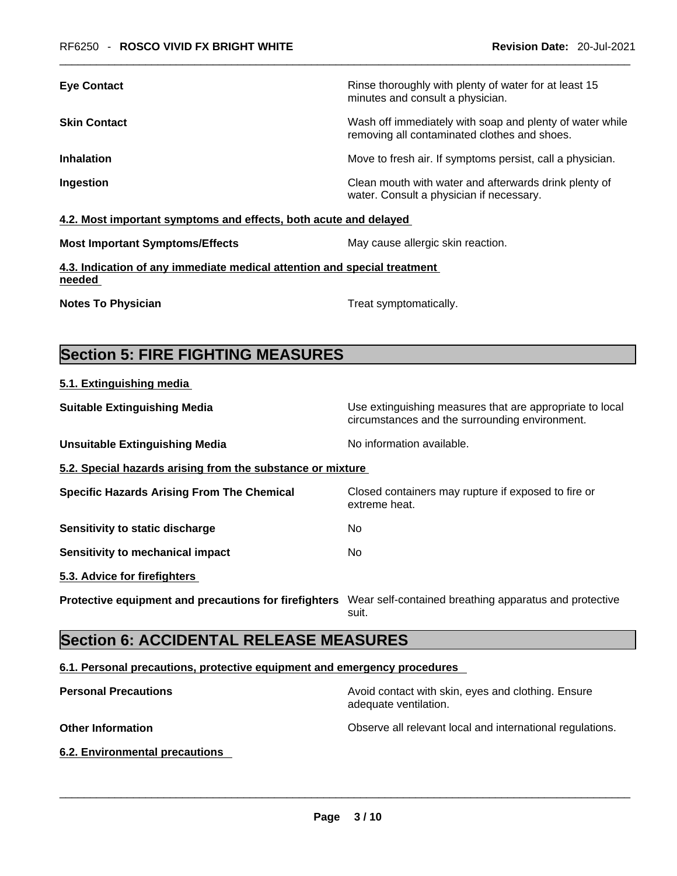| <b>Eye Contact</b>  | Rinse thoroughly with plenty of water for at least 15<br>minutes and consult a physician.                |
|---------------------|----------------------------------------------------------------------------------------------------------|
| <b>Skin Contact</b> | Wash off immediately with soap and plenty of water while<br>removing all contaminated clothes and shoes. |
| <b>Inhalation</b>   | Move to fresh air. If symptoms persist, call a physician.                                                |
| Ingestion           | Clean mouth with water and afterwards drink plenty of<br>water. Consult a physician if necessary.        |
|                     |                                                                                                          |

### **4.2. Most important symptoms and effects, both acute and delayed**

| <b>Most Important Symptoms/Effects</b> |
|----------------------------------------|
|----------------------------------------|

**May cause allergic skin reaction.** 

**4.3. Indication of any immediate medical attention and special treatment needed** 

**5.1. Extinguishing media**

**Notes To Physician Treat symptomatically.** 

## **Section 5: FIRE FIGHTING MEASURES**

| <b>Suitable Extinguishing Media</b>                        | Use extinguishing measures that are appropriate to local<br>circumstances and the surrounding environment. |
|------------------------------------------------------------|------------------------------------------------------------------------------------------------------------|
| <b>Unsuitable Extinguishing Media</b>                      | No information available.                                                                                  |
| 5.2. Special hazards arising from the substance or mixture |                                                                                                            |
| <b>Specific Hazards Arising From The Chemical</b>          | Closed containers may rupture if exposed to fire or<br>extreme heat.                                       |
| Sensitivity to static discharge                            | No.                                                                                                        |
| Sensitivity to mechanical impact                           | No.                                                                                                        |
| 5.3. Advice for firefighters                               |                                                                                                            |
| Protective equipment and precautions for firefighters      | Wear self-contained breathing apparatus and protective<br>suit.                                            |

## **Section 6: ACCIDENTAL RELEASE MEASURES**

#### **6.1. Personal precautions, protective equipment and emergency procedures**

| <b>Personal Precautions</b>    | Avoid contact with skin, eyes and clothing. Ensure<br>adequate ventilation. |
|--------------------------------|-----------------------------------------------------------------------------|
| <b>Other Information</b>       | Observe all relevant local and international regulations.                   |
| 6.2. Environmental precautions |                                                                             |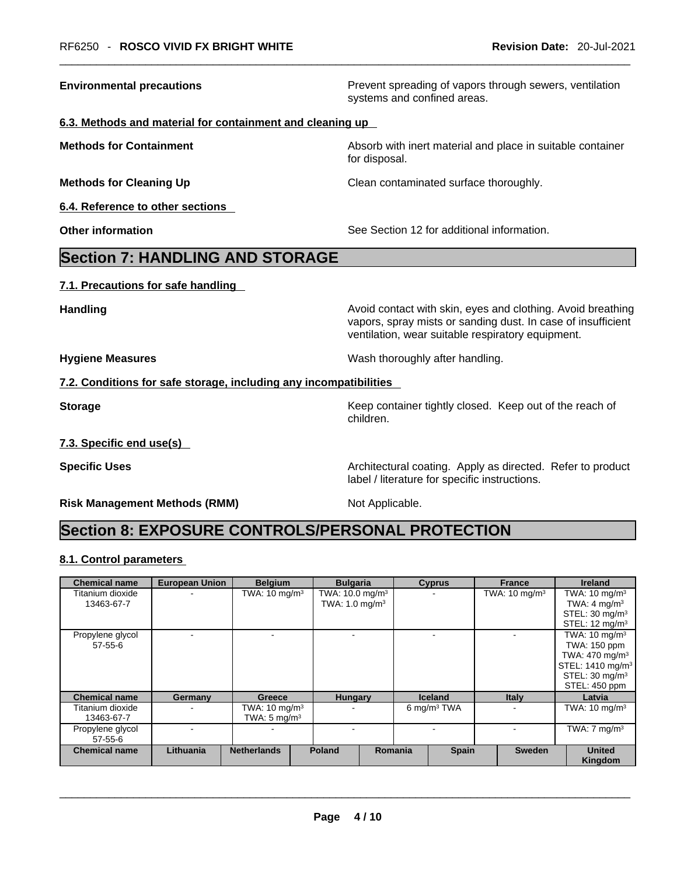**Environmental precautions Environmental precautions Prevent spreading of vapors through sewers, ventilation** systems and confined areas.

#### **6.3. Methods and material for containment and cleaning up**

**Methods for Containment Absorb with inert material and place in suitable container Methods** for Container

**6.4. Reference to other sections** 

for disposal.

**Methods for Cleaning Up Clean contaminated surface thoroughly.** 

**Other information** See Section 12 for additional information.

## **Section 7: HANDLING AND STORAGE**

**7.1. Precautions for safe handling** 

**Handling Handling Avoid contact with skin, eyes and clothing. Avoid breathing** vapors, spray mists or sanding dust. In case of insufficient ventilation, wear suitable respiratory equipment.

**Hygiene Measures Wash thoroughly after handling.** 

label / literature for specific instructions.

#### **7.2. Conditions for safe storage, including any incompatibilities**

**Storage Example 20 Keep container tightly closed. Keep out of the reach of Keep** out of the reach of children.

**7.3. Specific end use(s)** 

**Specific Uses <b>Specific Uses Architectural coating.** Apply as directed. Refer to product

**Risk Management Methods (RMM)** Not Applicable.

## **Section 8: EXPOSURE CONTROLS/PERSONAL PROTECTION**

#### **8.1. Control parameters**

| <b>Chemical name</b> | <b>European Union</b> | <b>Belgium</b>           | <b>Bulgaria</b>               |         | <b>Cyprus</b>  | <b>France</b>            | <b>Ireland</b>               |
|----------------------|-----------------------|--------------------------|-------------------------------|---------|----------------|--------------------------|------------------------------|
| Titanium dioxide     |                       | TWA: $10 \text{ mg/m}^3$ | TWA: $10.0$ mg/m <sup>3</sup> |         |                | TWA: $10 \text{ mg/m}^3$ | TWA: $10 \text{ mg/m}^3$     |
| 13463-67-7           |                       |                          | TWA: $1.0 \text{ mg/m}^3$     |         |                |                          | TWA: $4 \text{ mg/m}^3$      |
|                      |                       |                          |                               |         |                |                          | STEL: $30 \text{ mg/m}^3$    |
|                      |                       |                          |                               |         |                |                          | STEL: $12 \text{ mq/m}^3$    |
| Propylene glycol     |                       |                          |                               |         |                |                          | TWA: $10 \text{ mg/m}^3$     |
| $57 - 55 - 6$        |                       |                          |                               |         |                |                          | TWA: 150 ppm                 |
|                      |                       |                          |                               |         |                |                          | TWA: 470 mg/m <sup>3</sup>   |
|                      |                       |                          |                               |         |                |                          | STEL: 1410 mg/m <sup>3</sup> |
|                      |                       |                          |                               |         |                |                          | STEL: 30 mg/m <sup>3</sup>   |
|                      |                       |                          |                               |         |                |                          | STEL: 450 ppm                |
| <b>Chemical name</b> | Germany               | Greece                   | <b>Hungary</b>                |         | <b>Iceland</b> | <b>Italy</b>             | Latvia                       |
| Titanium dioxide     |                       | TWA: $10 \text{ mg/m}^3$ |                               |         | 6 mg/m $3$ TWA |                          | TWA: $10 \text{ mg/m}^3$     |
| 13463-67-7           |                       | TWA: $5 \text{ mg/m}^3$  |                               |         |                |                          |                              |
| Propylene glycol     |                       |                          |                               |         |                |                          | TWA: $7 \text{ mg/m}^3$      |
| $57 - 55 - 6$        |                       |                          |                               |         |                |                          |                              |
| <b>Chemical name</b> | Lithuania             | <b>Netherlands</b>       | <b>Poland</b>                 | Romania | <b>Spain</b>   | <b>Sweden</b>            | <b>United</b>                |
|                      |                       |                          |                               |         |                |                          | Kingdom                      |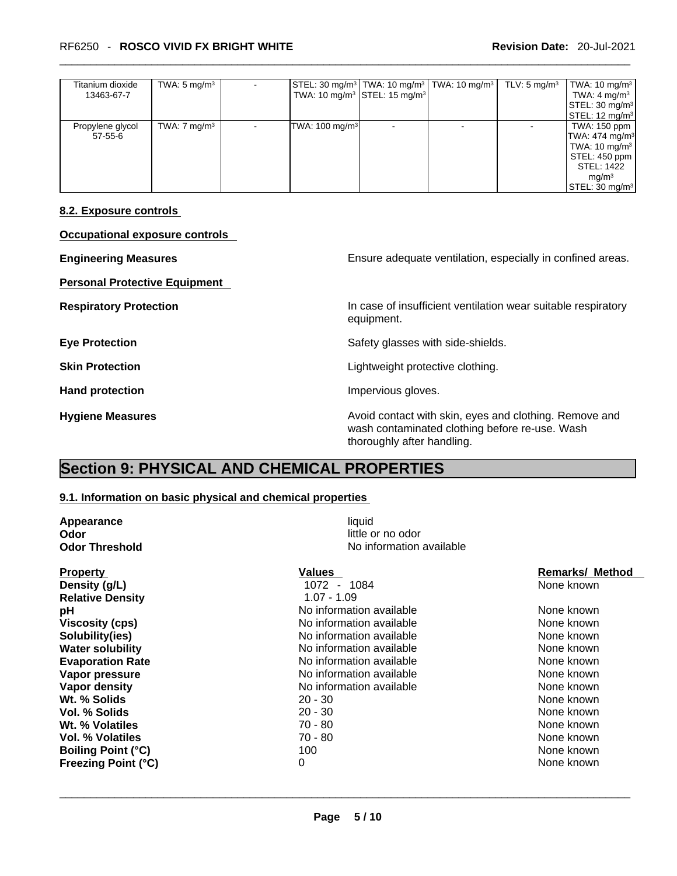#### \_\_\_\_\_\_\_\_\_\_\_\_\_\_\_\_\_\_\_\_\_\_\_\_\_\_\_\_\_\_\_\_\_\_\_\_\_\_\_\_\_\_\_\_\_\_\_\_\_\_\_\_\_\_\_\_\_\_\_\_\_\_\_\_\_\_\_\_\_\_\_\_\_\_\_\_\_\_\_\_\_\_\_\_\_\_\_\_\_\_\_\_\_ RF6250 - **ROSCO VIVID FX BRIGHT WHITE Revision Date:** 20-Jul-2021

| Titanium dioxide | TWA: $5 \text{ mg/m}^3$ |                            | STEL: 30 mg/m <sup>3</sup>   TWA: 10 mg/m <sup>3</sup>   TWA: 10 mg/m <sup>3</sup> | TLV: $5 \text{ mg/m}^3$ | TWA: $10 \text{ mg/m}^3$           |
|------------------|-------------------------|----------------------------|------------------------------------------------------------------------------------|-------------------------|------------------------------------|
| 13463-67-7       |                         |                            | TWA: 10 mg/m <sup>3</sup> STEL: 15 mg/m <sup>3</sup>                               |                         | TWA: $4 \text{ mg/m}^3$            |
|                  |                         |                            |                                                                                    |                         | STEL: 30 mg/m <sup>3</sup>         |
|                  |                         |                            |                                                                                    |                         | STEL: 12 mg/m <sup>3</sup>         |
| Propylene glycol | TWA: $7 \text{ mg/m}^3$ | TWA: 100 mg/m <sup>3</sup> |                                                                                    |                         | TWA: 150 ppm                       |
| 57-55-6          |                         |                            |                                                                                    |                         | TWA: 474 mg/m <sup>3</sup>         |
|                  |                         |                            |                                                                                    |                         | TWA: 10 mg/m <sup>3</sup>          |
|                  |                         |                            |                                                                                    |                         | STEL: 450 ppm '                    |
|                  |                         |                            |                                                                                    |                         | STEL: 1422                         |
|                  |                         |                            |                                                                                    |                         | mq/m <sup>3</sup>                  |
|                  |                         |                            |                                                                                    |                         | $\textsf{STEL}: 30 \text{ mg/m}^3$ |

#### **8.2. Exposure controls**

| Occupational exposure controls       |                                                                                                                                        |
|--------------------------------------|----------------------------------------------------------------------------------------------------------------------------------------|
| <b>Engineering Measures</b>          | Ensure adequate ventilation, especially in confined areas.                                                                             |
| <b>Personal Protective Equipment</b> |                                                                                                                                        |
| <b>Respiratory Protection</b>        | In case of insufficient ventilation wear suitable respiratory<br>equipment.                                                            |
| <b>Eye Protection</b>                | Safety glasses with side-shields.                                                                                                      |
| <b>Skin Protection</b>               | Lightweight protective clothing.                                                                                                       |
| <b>Hand protection</b>               | Impervious gloves.                                                                                                                     |
| <b>Hygiene Measures</b>              | Avoid contact with skin, eyes and clothing. Remove and<br>wash contaminated clothing before re-use. Wash<br>thoroughly after handling. |

## **Section 9: PHYSICAL AND CHEMICAL PROPERTIES**

#### **9.1. Information on basic physical and chemical properties**

| Appearance                 | liquid                   |                        |
|----------------------------|--------------------------|------------------------|
| Odor                       | little or no odor        |                        |
| <b>Odor Threshold</b>      | No information available |                        |
| <b>Property</b>            | Values                   | <b>Remarks/ Method</b> |
| Density (g/L)              | $1072 -$<br>1084         | None known             |
| <b>Relative Density</b>    | $1.07 - 1.09$            |                        |
| рH                         | No information available | None known             |
| <b>Viscosity (cps)</b>     | No information available | None known             |
| Solubility(ies)            | No information available | None known             |
| <b>Water solubility</b>    | No information available | None known             |
| <b>Evaporation Rate</b>    | No information available | None known             |
| Vapor pressure             | No information available | None known             |
| Vapor density              | No information available | None known             |
| Wt. % Solids               | $20 - 30$                | None known             |
| Vol. % Solids              | $20 - 30$                | None known             |
| Wt. % Volatiles            | 70 - 80                  | None known             |
| <b>Vol. % Volatiles</b>    | $70 - 80$                | None known             |
| <b>Boiling Point (°C)</b>  | 100                      | None known             |
| <b>Freezing Point (°C)</b> | 0                        | None known             |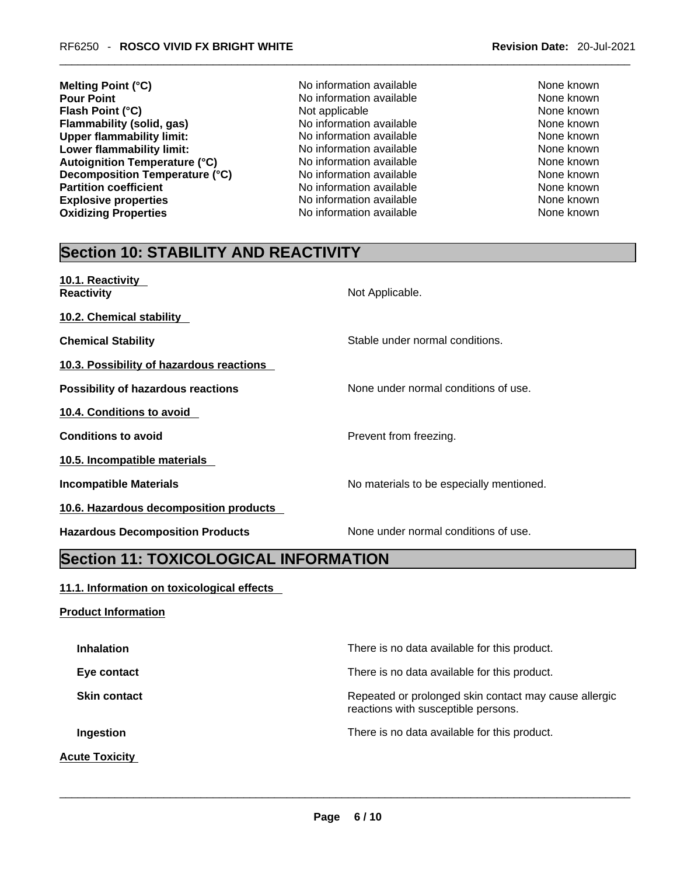- **Melting Point (°C)**<br> **Melting Point (°C)**<br>
No information available None known<br>
None known **Flash Point (°C)** Not applicable Not applicable None known **Flammability (solid, gas)** No information available None Known<br>
None **the Contract Conduct Area Contract** No information available None known<br>
None known **Upper flammability limit:** No information available None Known None known **Lower flammability limit:** No information available None known None known **Autoignition Temperature (°C)** No information available None known **Decomposition Temperature (°C)** No information available None Known None known **Partition coefficient**<br> **Explosive properties**<br>
No information available None Known<br>
None known **Explosive properties Oxidizing Properties No information available** None known
	- **No information available**
- -

## **Section 10: STABILITY AND REACTIVITY**

| 10.1. Reactivity<br><b>Reactivity</b>     | Not Applicable.                          |
|-------------------------------------------|------------------------------------------|
| 10.2. Chemical stability                  |                                          |
| <b>Chemical Stability</b>                 | Stable under normal conditions.          |
| 10.3. Possibility of hazardous reactions  |                                          |
| <b>Possibility of hazardous reactions</b> | None under normal conditions of use.     |
| 10.4. Conditions to avoid                 |                                          |
| <b>Conditions to avoid</b>                | Prevent from freezing.                   |
| 10.5. Incompatible materials              |                                          |
| <b>Incompatible Materials</b>             | No materials to be especially mentioned. |
| 10.6. Hazardous decomposition products    |                                          |
| <b>Hazardous Decomposition Products</b>   | None under normal conditions of use.     |

## **Section 11: TOXICOLOGICAL INFORMATION**

#### **11.1. Information on toxicological effects**

# **Product Information Inhalation Inhalation There is no data available for this product. Eye contact <b>Exercise Exercise Exercise For the Exercise Exercise** There is no data available for this product. **Skin contact <b>Repeated** or prolonged skin contact may cause allergic reactions with susceptible persons. **Ingestion Ingestion Intervalled Example 2** There is no data available for this product. **Acute Toxicity**   $\_$  ,  $\_$  ,  $\_$  ,  $\_$  ,  $\_$  ,  $\_$  ,  $\_$  ,  $\_$  ,  $\_$  ,  $\_$  ,  $\_$  ,  $\_$  ,  $\_$  ,  $\_$  ,  $\_$  ,  $\_$  ,  $\_$  ,  $\_$  ,  $\_$  ,  $\_$  ,  $\_$  ,  $\_$  ,  $\_$  ,  $\_$  ,  $\_$  ,  $\_$  ,  $\_$  ,  $\_$  ,  $\_$  ,  $\_$  ,  $\_$  ,  $\_$  ,  $\_$  ,  $\_$  ,  $\_$  ,  $\_$  ,  $\_$  ,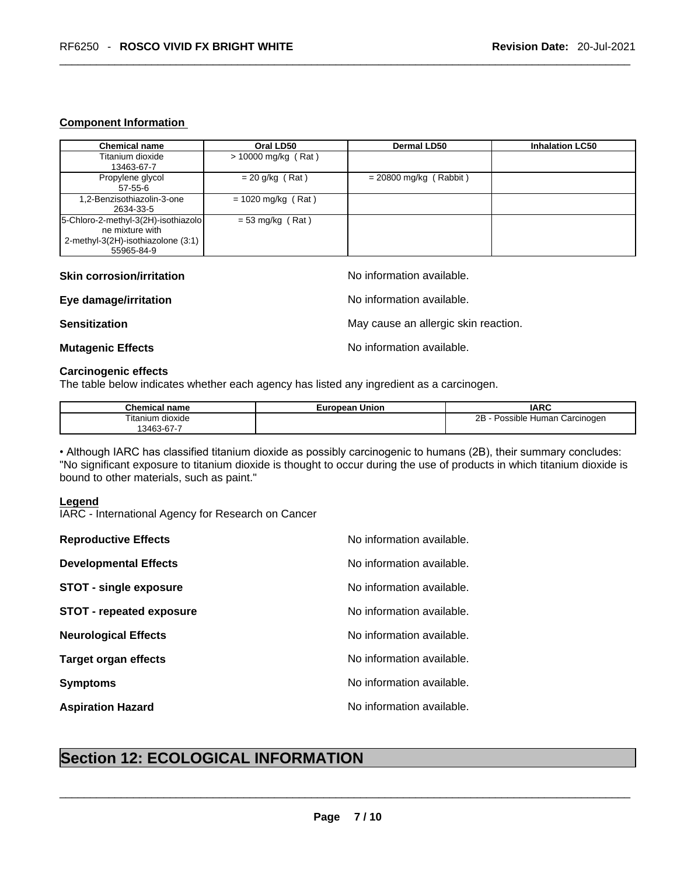#### **Component Information**

| <b>Chemical name</b>                | Oral LD50             | Dermal LD50              | <b>Inhalation LC50</b> |
|-------------------------------------|-----------------------|--------------------------|------------------------|
| Titanium dioxide                    | $> 10000$ mg/kg (Rat) |                          |                        |
| 13463-67-7                          |                       |                          |                        |
| Propylene glycol                    | $= 20$ g/kg (Rat)     | $= 20800$ mg/kg (Rabbit) |                        |
| $57 - 55 - 6$                       |                       |                          |                        |
| 1,2-Benzisothiazolin-3-one          | $= 1020$ mg/kg (Rat)  |                          |                        |
| 2634-33-5                           |                       |                          |                        |
| 5-Chloro-2-methyl-3(2H)-isothiazolo | $= 53$ mg/kg (Rat)    |                          |                        |
| ne mixture with                     |                       |                          |                        |
| 2-methyl-3(2H)-isothiazolone (3:1)  |                       |                          |                        |
| 55965-84-9                          |                       |                          |                        |

#### **Skin corrosion/irritation** and  $\blacksquare$  No information available.

#### **Eye damage/irritation No information available.**

**Sensitization Sensitization May cause an allergic skin reaction.** 

#### **Mutagenic Effects Mutagenic Effects No information available.**

#### **Carcinogenic effects**

The table below indicates whether each agency has listed any ingredient as a carcinogen.

| <b>Chemical name</b> | <b>European Union</b> | <b>IARC</b>                          |
|----------------------|-----------------------|--------------------------------------|
| Fitanium dioxide     |                       | 2B<br>Possible Human (<br>Carcinogen |
| $13463 - 67 - 7$     |                       |                                      |

• Although IARC has classified titanium dioxide as possibly carcinogenic to humans (2B), their summary concludes: "No significant exposure to titanium dioxide is thought to occur during the use of products in which titanium dioxide is bound to other materials, such as paint."

#### **Legend**

IARC - International Agency for Research on Cancer

| <b>Section 12: ECOLOGICAL INFORMATION</b> |                           |  |
|-------------------------------------------|---------------------------|--|
|                                           |                           |  |
| <b>Aspiration Hazard</b>                  | No information available. |  |
| <b>Symptoms</b>                           | No information available. |  |
| <b>Target organ effects</b>               | No information available. |  |
| <b>Neurological Effects</b>               | No information available. |  |
| <b>STOT - repeated exposure</b>           | No information available. |  |
| <b>STOT - single exposure</b>             | No information available. |  |
| <b>Developmental Effects</b>              | No information available. |  |
| <b>Reproductive Effects</b>               | No information available. |  |

## **Section 12: ECOLOGICAL INFORMATION**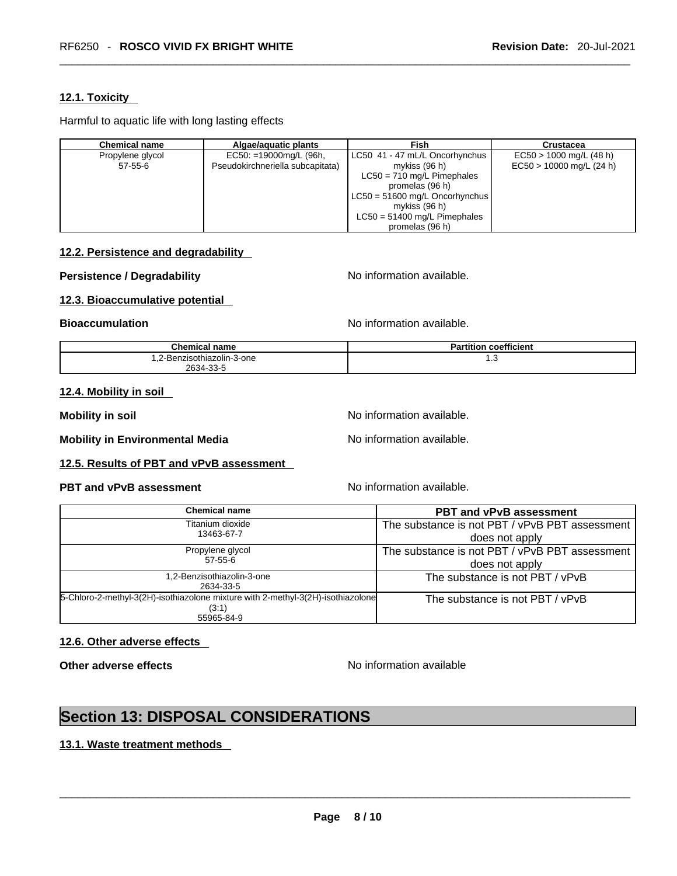#### **12.1. Toxicity**

Harmful to aquatic life with long lasting effects

| Chemical name    | Algae/aquatic plants             | Fish                             | <b>Crustacea</b>           |
|------------------|----------------------------------|----------------------------------|----------------------------|
| Propylene glycol | $EC50: =19000mg/L$ (96h,         | LC50 41 - 47 mL/L Oncorhynchus   | $EC50 > 1000$ mg/L (48 h)  |
| $57-55-6$        | Pseudokirchneriella subcapitata) | mykiss $(96 h)$                  | $EC50 > 10000$ mg/L (24 h) |
|                  |                                  | $LC50 = 710$ mg/L Pimephales     |                            |
|                  |                                  | promelas (96 h)                  |                            |
|                  |                                  | $LC50 = 51600$ mg/L Oncorhynchus |                            |
|                  |                                  | mykiss $(96 h)$                  |                            |
|                  |                                  | $LC50 = 51400$ mg/L Pimephales   |                            |
|                  |                                  | promelas (96 h)                  |                            |

#### **12.2. Persistence and degradability**

#### **Persistence / Degradability** No information available.

#### **12.3. Bioaccumulative potential**

**Bioaccumulation Bioaccumulation Bioaccumulation** 

| $ -$<br><b>Chemical name</b>        | <br>$  -$<br>Partition<br>coefficient |
|-------------------------------------|---------------------------------------|
| -Benzisothiazolin-3-one<br>. z-Beri | ں. ا                                  |
| 2634-33-<br>-၁၁-၁                   |                                       |

#### **12.4. Mobility in soil**

**Mobility in soil Mobility in soil Mobility in soil** 

**Mobility in Environmental Media** Noinformation available.

#### **12.5. Results of PBT and vPvB assessment**

#### **PBT** and **vPvB** assessment No information available.

| Chemical name                                                                                          | <b>PBT and vPvB assessment</b>                                   |
|--------------------------------------------------------------------------------------------------------|------------------------------------------------------------------|
| Titanium dioxide<br>13463-67-7                                                                         | The substance is not PBT / vPvB PBT assessment<br>does not apply |
| Propylene glycol<br>$57 - 55 - 6$                                                                      | The substance is not PBT / vPvB PBT assessment<br>does not apply |
| 1,2-Benzisothiazolin-3-one<br>2634-33-5                                                                | The substance is not PBT / vPvB                                  |
| 5-Chloro-2-methyl-3(2H)-isothiazolone mixture with 2-methyl-3(2H)-isothiazolone<br>(3:1)<br>55965-84-9 | The substance is not PBT / vPvB                                  |

#### **12.6. Other adverse effects**

**Other adverse effects No information available Other adverse effects No information available** 

## **Section 13: DISPOSAL CONSIDERATIONS**

#### **13.1. Waste treatment methods**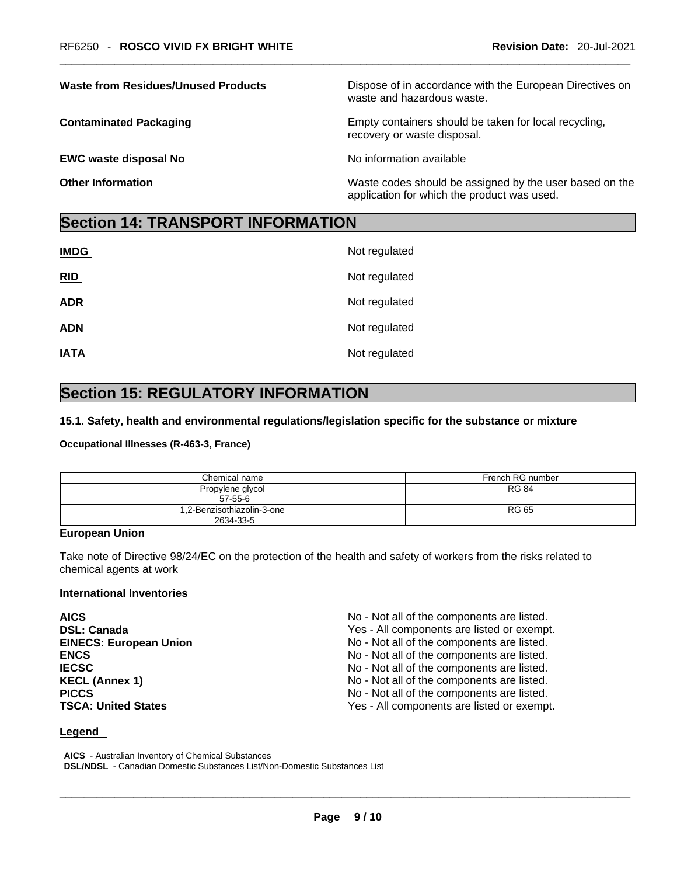**EWC waste disposal No** <br>No information available

**Dispose of in accordance with the European Directives on** waste and hazardous waste.

**Contaminated Packaging <b>Empty Containers** should be taken for local recycling, recovery or waste disposal.

**Other Information Other Information Intervellence in the Waste codes should be assigned by the user based on the** application for which the product was used.

## **Section 14: TRANSPORT INFORMATION**

| <b>IMDG</b> | Not regulated |
|-------------|---------------|
| RID         | Not regulated |
| <b>ADR</b>  | Not regulated |
| <b>ADN</b>  | Not regulated |
| <b>IATA</b> | Not regulated |

## **Section 15: REGULATORY INFORMATION**

#### **15.1. Safety, health and environmental regulations/legislation specific for the substance or mixture**

#### **Occupational Illnesses (R-463-3, France)**

| Chemical name                           | French RG number |
|-----------------------------------------|------------------|
| Propylene glycol<br>$57-55-6$           | <b>RG 84</b>     |
| 1,2-Benzisothiazolin-3-one<br>2634-33-5 | RG 65            |

#### **European Union**

Take note of Directive 98/24/EC on the protection of the health and safety of workers from the risks related to chemical agents at work

#### **International Inventories**

| <b>AICS</b>                   | No - Not all of the components are listed. |
|-------------------------------|--------------------------------------------|
| <b>DSL: Canada</b>            | Yes - All components are listed or exempt. |
| <b>EINECS: European Union</b> | No - Not all of the components are listed. |
| <b>ENCS</b>                   | No - Not all of the components are listed. |
| <b>IECSC</b>                  | No - Not all of the components are listed. |
| <b>KECL (Annex 1)</b>         | No - Not all of the components are listed. |
| <b>PICCS</b>                  | No - Not all of the components are listed. |
| <b>TSCA: United States</b>    | Yes - All components are listed or exempt. |

#### **Legend**

**AICS** - Australian Inventory of Chemical Substances **DSL/NDSL** - Canadian Domestic Substances List/Non-Domestic Substances List